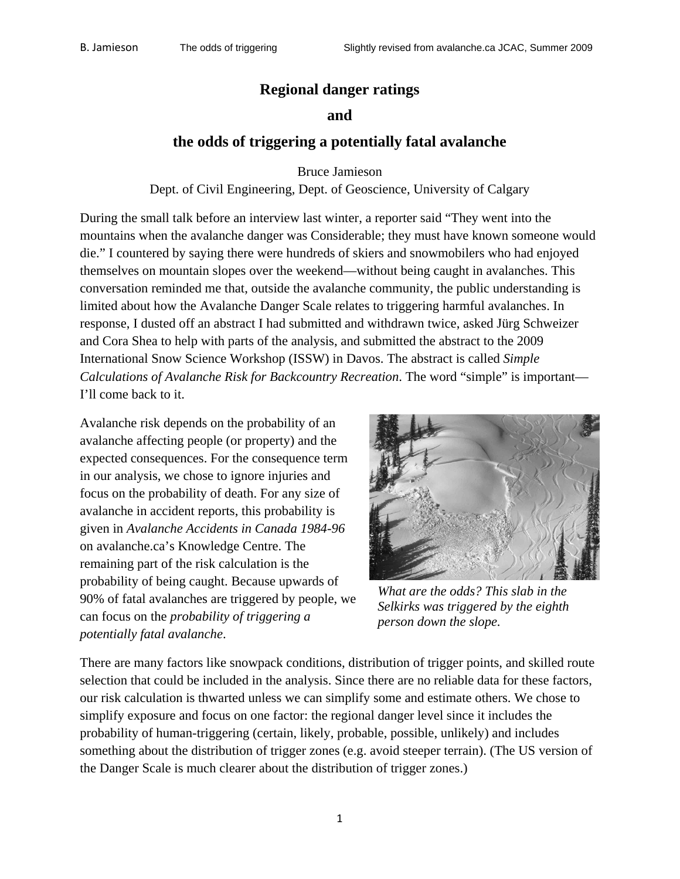# **Regional danger ratings**

### **and**

# **the odds of triggering a potentially fatal avalanche**

Bruce Jamieson

Dept. of Civil Engineering, Dept. of Geoscience, University of Calgary

During the small talk before an interview last winter, a reporter said "They went into the mountains when the avalanche danger was Considerable; they must have known someone would die." I countered by saying there were hundreds of skiers and snowmobilers who had enjoyed themselves on mountain slopes over the weekend—without being caught in avalanches. This conversation reminded me that, outside the avalanche community, the public understanding is limited about how the Avalanche Danger Scale relates to triggering harmful avalanches. In response, I dusted off an abstract I had submitted and withdrawn twice, asked Jürg Schweizer and Cora Shea to help with parts of the analysis, and submitted the abstract to the 2009 International Snow Science Workshop (ISSW) in Davos. The abstract is called *Simple Calculations of Avalanche Risk for Backcountry Recreation*. The word "simple" is important— I'll come back to it.

Avalanche risk depends on the probability of an avalanche affecting people (or property) and the expected consequences. For the consequence term in our analysis, we chose to ignore injuries and focus on the probability of death. For any si ze of avalanche in accident reports, this probability is given in *Avalanche Accidents in Canada 1984-96* on avalanche.ca's Knowledge Centre. The remaining part of the risk calculation is the probability of being caught. Because upwa rds of 90% of fatal avalanches are triggered by people, we can focus on the *probability of triggering a potentially fa tal avalanche*.



*What are the odds? This slab in the Selkirks was triggered by the eighth person down the slope.* 

There are many factors like snowpack conditions, distribution of trigger points, and skilled route selection that could be included in the analysis. Since there are no reliable data for these factors, our risk calculation is thwarted unless we can simplify some and estimate others. We chose to simplify exposure and focus on one factor: the regional danger level since it includes the probability of human-triggering (certain, likely, probable, possible, unlikely) and includes something about the distribution of trigger zones (e.g. avoid steeper terrain). (The US version of the Danger Scale is much clearer about the distribution of trigger zones.)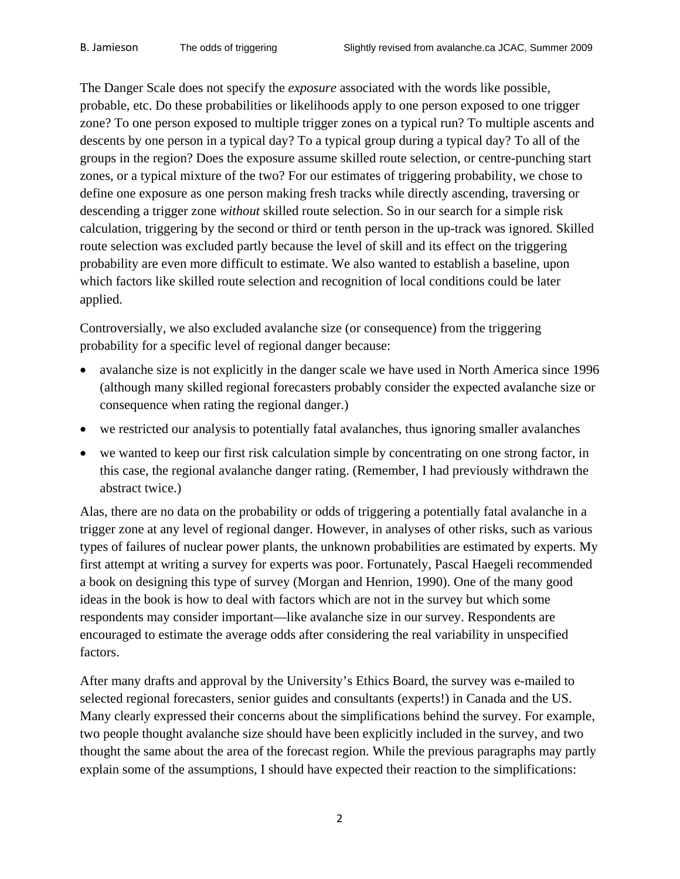The Danger Scale does not specify the *exposure* associated with the words like possible, probable, etc. Do these probabilities or likelihoods apply to one person exposed to one trigger zone? To one person exposed to multiple trigger zones on a typical run? To multiple ascents and descents by one person in a typical day? To a typical group during a typical day? To all of the groups in the region? Does the exposure assume skilled route selection, or centre-punching start zones, or a typical mixture of the two? For our estimates of triggering probability, we chose to define one exposure as one person making fresh tracks while directly ascending, traversing or descending a trigger zone *without* skilled route selection. So in our search for a simple risk calculation, triggering by the second or third or tenth person in the up-track was ignored. Skilled route selection was excluded partly because the level of skill and its effect on the triggering probability are even more difficult to estimate. We also wanted to establish a baseline, upon which factors like skilled route selection and recognition of local conditions could be later applied.

Controversially, we also excluded avalanche size (or consequence) from the triggering probability for a specific level of regional danger because:

- avalanche size is not explicitly in the danger scale we have used in North America since 1996 (although many skilled regional forecasters probably consider the expected avalanche size or consequence when rating the regional danger.)
- we restricted our analysis to potentially fatal avalanches, thus ignoring smaller avalanches
- we wanted to keep our first risk calculation simple by concentrating on one strong factor, in this case, the regional avalanche danger rating. (Remember, I had previously withdrawn the abstract twice.)

Alas, there are no data on the probability or odds of triggering a potentially fatal avalanche in a trigger zone at any level of regional danger. However, in analyses of other risks, such as various types of failures of nuclear power plants, the unknown probabilities are estimated by experts. My first attempt at writing a survey for experts was poor. Fortunately, Pascal Haegeli recommended a book on designing this type of survey (Morgan and Henrion, 1990). One of the many good ideas in the book is how to deal with factors which are not in the survey but which some respondents may consider important—like avalanche size in our survey. Respondents are encouraged to estimate the average odds after considering the real variability in unspecified factors.

After many drafts and approval by the University's Ethics Board, the survey was e-mailed to selected regional forecasters, senior guides and consultants (experts!) in Canada and the US. Many clearly expressed their concerns about the simplifications behind the survey. For example, two people thought avalanche size should have been explicitly included in the survey, and two thought the same about the area of the forecast region. While the previous paragraphs may partly explain some of the assumptions, I should have expected their reaction to the simplifications: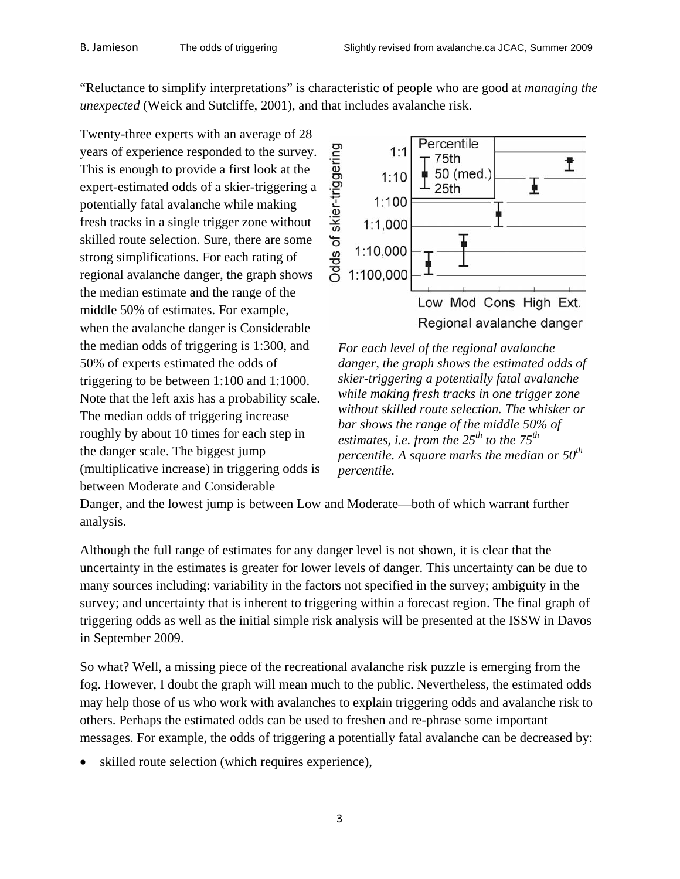"Reluctance to simplify interpretations" is characteristic of people who are good at *managing the unexpected* (Weick and Sutcliffe, 2001), and that includes avalanche risk.

Twenty-three experts with an average of 28 years of experience responded to the survey. This is enough to provide a first look at the expert-estimated odds of a skier-triggering a potentially fatal avalanche while making fresh tracks in a single trigger zone without skilled route selection. Sure, there are some strong simplifications. For each rating of regional avalanche danger, the graph shows the median estimate and the range of the middle 50% of estimates. For example, when the avalanche danger is Considerable the median odds of triggering is 1:300, and 50% of experts estimated the odds of triggering to be between 1:100 and 1:1000. Note that the left axis has a probability scale. The median odds of triggering increase roughly by about 10 times for each step in the danger scale. The biggest jump (multiplicative increase) in triggering odds is between Moderate and Considerable



*For each level of the regional avalanche danger, the graph shows the estimated odds of skier-triggering a potentially fatal avalanche while making fresh tracks in one trigger zone without skilled route selection. The whisker or bar shows the range of the middle 50% of estimates, i.e. from the 25th to the 75th percentile. A square marks the median or 50th percentile.* 

Danger, and the lowest jump is between Low and Moderate—both of which warrant further analysis.

Although the full range of estimates for any danger level is not shown, it is clear that the uncertainty in the estimates is greater for lower levels of danger. This uncertainty can be due to many sources including: variability in the factors not specified in the survey; ambiguity in the survey; and uncertainty that is inherent to triggering within a forecast region. The final graph of triggering odds as well as the initial simple risk analysis will be presented at the ISSW in Davos in September 2009.

So what? Well, a missing piece of the recreational avalanche risk puzzle is emerging from the fog. However, I doubt the graph will mean much to the public. Nevertheless, the estimated odds may help those of us who work with avalanches to explain triggering odds and avalanche risk to others. Perhaps the estimated odds can be used to freshen and re-phrase some important messages. For example, the odds of triggering a potentially fatal avalanche can be decreased by:

skilled route selection (which requires experience),